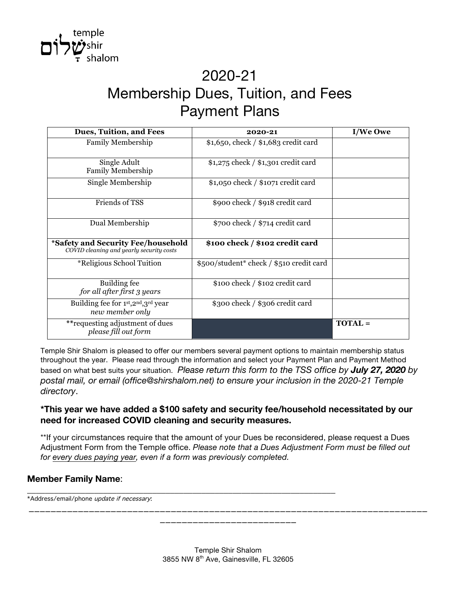

# 2020-21 Membership Dues, Tuition, and Fees Payment Plans

| Dues, Tuition, and Fees                                                        | 2020-21                                  | I/We Owe       |
|--------------------------------------------------------------------------------|------------------------------------------|----------------|
| <b>Family Membership</b>                                                       | $$1,650, check / $1,683$ credit card     |                |
| Single Adult<br><b>Family Membership</b>                                       | $$1,275$ check $/ $1,301$ credit card    |                |
| Single Membership                                                              | $$1,050$ check / $$1071$ credit card     |                |
| Friends of TSS                                                                 | \$900 check / \$918 credit card          |                |
| Dual Membership                                                                | $$700$ check / $$714$ credit card        |                |
| *Safety and Security Fee/household<br>COVID cleaning and yearly security costs | \$100 check / \$102 credit card          |                |
| <i><b>*Religious School Tuition</b></i>                                        | \$500/student* check / \$510 credit card |                |
| Building fee<br>for all after first 3 years                                    | \$100 check / \$102 credit card          |                |
| Building fee for 1st, 2nd, 3rd year<br>new member only                         | \$300 check / \$306 credit card          |                |
| ** requesting adjustment of dues<br>please fill out form                       |                                          | <b>TOTAL</b> = |

Temple Shir Shalom is pleased to offer our members several payment options to maintain membership status throughout the year. Please read through the information and select your Payment Plan and Payment Method based on what best suits your situation. *Please return this form to the TSS office by July 27, 2020 by postal mail, or email (office@shirshalom.net) to ensure your inclusion in the 2020-21 Temple directory*.

#### **\*This year we have added a \$100 safety and security fee/household necessitated by our need for increased COVID cleaning and security measures.**

\*\*If your circumstances require that the amount of your Dues be reconsidered, please request a Dues Adjustment Form from the Temple office. *Please note that a Dues Adjustment Form must be filled out for every dues paying year, even if a form was previously completed.*

\_\_\_\_\_\_\_\_\_\_\_\_\_\_\_\_\_\_\_\_\_\_\_\_\_\_\_\_\_\_\_\_\_\_\_\_\_\_\_\_\_\_\_\_\_\_\_\_\_\_\_\_\_\_\_\_\_\_\_\_\_\_\_\_\_\_\_\_\_

#### **Member Family Name**:

\*Address/email/phone update if necessary:

\_\_\_\_\_\_\_\_\_\_\_\_\_\_\_\_\_\_\_\_\_\_\_\_\_\_\_\_\_\_\_\_\_\_\_\_\_\_\_\_\_\_\_\_\_\_\_\_\_\_\_\_\_\_\_\_\_\_\_\_\_\_\_\_\_\_\_\_\_\_\_\_\_ \_\_\_\_\_\_\_\_\_\_\_\_\_\_\_\_\_\_\_\_\_\_\_\_\_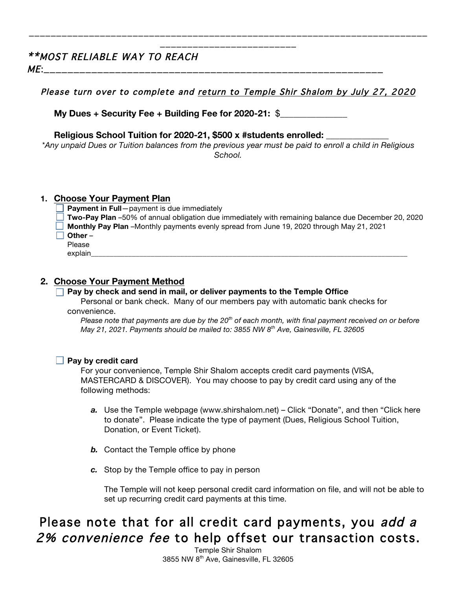### \*\*MOST RELIABLE WAY TO REACH

 $ME:$ 

Please turn over to complete and return to Temple Shir Shalom by July 27, 2020

\_\_\_\_\_\_\_\_\_\_\_\_\_\_\_\_\_\_\_\_\_\_\_\_\_\_\_\_\_\_\_\_\_\_\_\_\_\_\_\_\_\_\_\_\_\_\_\_\_\_\_\_\_\_\_\_\_\_\_\_\_\_\_\_\_\_\_\_\_\_\_\_\_ \_\_\_\_\_\_\_\_\_\_\_\_\_\_\_\_\_\_\_\_\_\_\_\_\_

**My Dues + Security Fee + Building Fee for 2020-21:** \$\_\_\_\_\_\_\_\_\_\_\_\_\_\_\_

**Religious School Tuition for 2020-21, \$500 x #students enrolled:** \_\_\_\_\_\_\_\_\_\_\_\_\_\_

*\*Any unpaid Dues or Tuition balances from the previous year must be paid to enroll a child in Religious School.*

#### **1. Choose Your Payment Plan**

**Payment in Full**—payment is due immediately

- **Two-Pay Plan** –50% of annual obligation due immediately with remaining balance due December 20, 2020
- **Monthly Pay Plan** –Monthly payments evenly spread from June 19, 2020 through May 21, 2021
- **Other** –

Please

explain\_\_\_\_\_\_\_\_\_\_\_\_\_\_\_\_\_\_\_\_\_\_\_\_\_\_\_\_\_\_\_\_\_\_\_\_\_\_\_\_\_\_\_\_\_\_\_\_\_\_\_\_\_\_\_\_\_\_\_\_\_\_\_\_\_\_\_\_\_\_\_\_\_\_\_\_\_\_\_\_\_\_\_\_\_

#### **2. Choose Your Payment Method**

#### **Pay by check and send in mail, or deliver payments to the Temple Office**

Personal or bank check. Many of our members pay with automatic bank checks for convenience.

*Please note that payments are due by the 20th of each month, with final payment received on or before May 21, 2021. Payments should be mailed to: 3855 NW 8th Ave, Gainesville, FL 32605*

#### **Pay by credit card**

For your convenience, Temple Shir Shalom accepts credit card payments (VISA, MASTERCARD & DISCOVER). You may choose to pay by credit card using any of the following methods:

- *a.* Use the Temple webpage (www.shirshalom.net) Click "Donate", and then "Click here to donate". Please indicate the type of payment (Dues, Religious School Tuition, Donation, or Event Ticket).
- *b.* Contact the Temple office by phone
- *c.* Stop by the Temple office to pay in person

The Temple will not keep personal credit card information on file, and will not be able to set up recurring credit card payments at this time.

### Please note that for all credit card payments, you add a 2% convenience fee to help offset our transaction costs.

Temple Shir Shalom 3855 NW 8<sup>th</sup> Ave, Gainesville, FL 32605